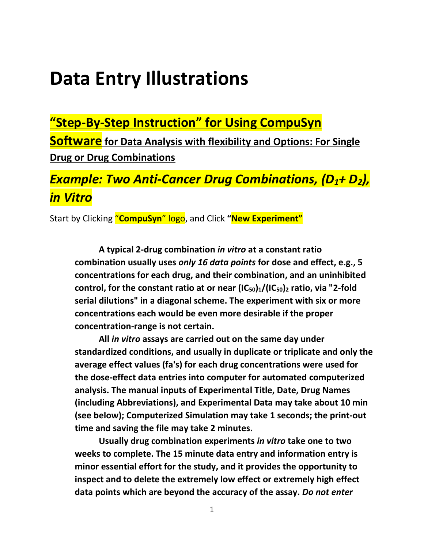# **Data Entry Illustrations**

**"Step-By-Step Instruction" for Using CompuSyn** 

**Software for Data Analysis with flexibility and Options: For Single Drug or Drug Combinations**

## *Example: Two Anti-Cancer Drug Combinations, (D1+ D2), in Vitro*

Start by Clicking "**CompuSyn**" logo, and Click **"New Experiment"**

 **A typical 2-drug combination** *in vitro* **at a constant ratio combination usually uses** *only 16 data points* **for dose and effect, e.g., 5 concentrations for each drug, and their combination, and an uninhibited control, for the constant ratio at or near (IC50)1/(IC50)<sup>2</sup> ratio, via "2-fold serial dilutions" in a diagonal scheme. The experiment with six or more concentrations each would be even more desirable if the proper concentration-range is not certain.**

 **All** *in vitro* **assays are carried out on the same day under standardized conditions, and usually in duplicate or triplicate and only the average effect values (fa's) for each drug concentrations were used for the dose-effect data entries into computer for automated computerized analysis. The manual inputs of Experimental Title, Date, Drug Names (including Abbreviations), and Experimental Data may take about 10 min (see below); Computerized Simulation may take 1 seconds; the print-out time and saving the file may take 2 minutes.** 

 **Usually drug combination experiments** *in vitro* **take one to two weeks to complete. The 15 minute data entry and information entry is minor essential effort for the study, and it provides the opportunity to inspect and to delete the extremely low effect or extremely high effect data points which are beyond the accuracy of the assay.** *Do not enter*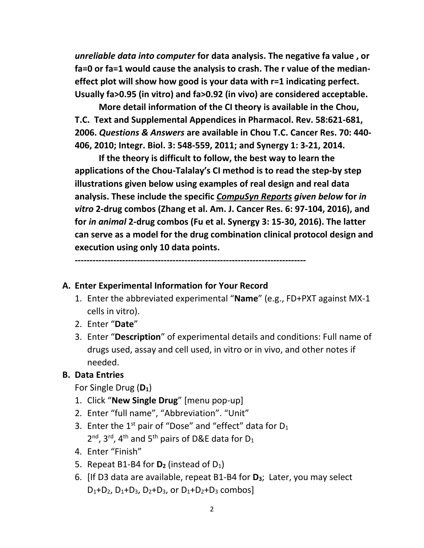*unreliable data into computer* **for data analysis. The negative fa value , or fa=0 or fa=1 would cause the analysis to crash. The r value of the medianeffect plot will show how good is your data with r=1 indicating perfect. Usually fa>0.95 (in vitro) and fa>0.92 (in vivo) are considered acceptable.**

 **More detail information of the CI theory is available in the Chou, T.C. Text and Supplemental Appendices in Pharmacol. Rev. 58:621-681, 2006.** *Questions & Answers* **are available in Chou T.C. Cancer Res. 70: 440- 406, 2010; Integr. Biol. 3: 548-559, 2011; and Synergy 1: 3-21, 2014.**

 **If the theory is difficult to follow, the best way to learn the applications of the Chou-Talalay's CI method is to read the step-by step illustrations given below using examples of real design and real data analysis. These include the specific** *CompuSyn Reports given below* **for** *in vitro* **2-drug combos (Zhang et al. Am. J. Cancer Res. 6: 97-104, 2016), and for** *in animal* **2-drug combos (Fu et al. Synergy 3: 15-30, 2016). The latter can serve as a model for the drug combination clinical protocol design and execution using only 10 data points.**

**------------------------------------------------------------------------------**

#### **A. Enter Experimental Information for Your Record**

- 1. Enter the abbreviated experimental "**Name**" (e.g., FD+PXT against MX-1 cells in vitro).
- 2. Enter "**Date**"
- 3. Enter "**Description**" of experimental details and conditions: Full name of drugs used, assay and cell used, in vitro or in vivo, and other notes if needed.

#### **B. Data Entries**

For Single Drug (**D1**)

- 1. Click "**New Single Drug**" [menu pop-up]
- 2. Enter "full name", "Abbreviation". "Unit"
- 3. Enter the  $1<sup>st</sup>$  pair of "Dose" and "effect" data for  $D_1$  $2^{nd}$ , 3<sup>rd</sup>, 4<sup>th</sup> and 5<sup>th</sup> pairs of D&E data for D<sub>1</sub>
- 4. Enter "Finish"
- 5. Repeat B1-B4 for  $D_2$  (instead of  $D_1$ )
- 6. [If D3 data are available, repeat B1-B4 for **D3**; Later, you may select  $D_1+D_2$ ,  $D_1+D_3$ ,  $D_2+D_3$ , or  $D_1+D_2+D_3$  combos]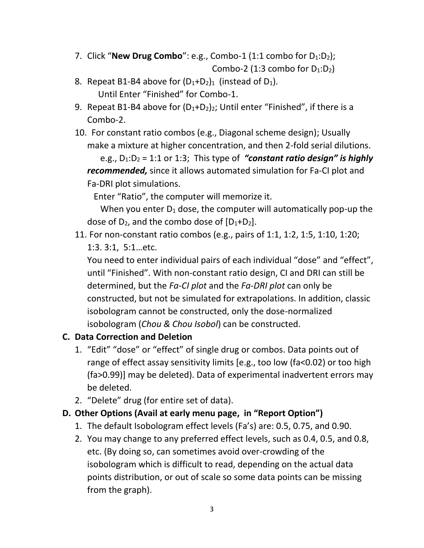- 7. Click "**New Drug Combo**": e.g., Combo-1 (1:1 combo for D<sub>1</sub>:D<sub>2</sub>); Combo-2 (1:3 combo for  $D_1:D_2$ )
- 8. Repeat B1-B4 above for  $(D_1+D_2)_1$  (instead of  $D_1$ ). Until Enter "Finished" for Combo-1.
- 9. Repeat B1-B4 above for  $(D_1+D_2)_2$ ; Until enter "Finished", if there is a Combo-2.
- 10. For constant ratio combos (e.g., Diagonal scheme design); Usually make a mixture at higher concentration, and then 2-fold serial dilutions.

e.g.,  $D_1: D_2 = 1:1$  or 1:3; This type of *"constant ratio design" is highly recommended,* since it allows automated simulation for Fa-CI plot and Fa-DRI plot simulations.

Enter "Ratio", the computer will memorize it.

When you enter  $D_1$  dose, the computer will automatically pop-up the dose of  $D_2$ , and the combo dose of  $[D_1+D_2]$ .

11. For non-constant ratio combos (e.g., pairs of 1:1, 1:2, 1:5, 1:10, 1:20; 1:3. 3:1, 5:1…etc.

You need to enter individual pairs of each individual "dose" and "effect", until "Finished". With non-constant ratio design, CI and DRI can still be determined, but the *Fa-CI plot* and the *Fa-DRI plot* can only be constructed, but not be simulated for extrapolations. In addition, classic isobologram cannot be constructed, only the dose-normalized isobologram (*Chou & Chou Isobol*) can be constructed.

#### **C. Data Correction and Deletion**

- 1. "Edit" "dose" or "effect" of single drug or combos. Data points out of range of effect assay sensitivity limits [e.g., too low (fa<0.02) or too high (fa>0.99)] may be deleted). Data of experimental inadvertent errors may be deleted.
- 2. "Delete" drug (for entire set of data).

#### **D. Other Options (Avail at early menu page, in "Report Option")**

- 1. The default Isobologram effect levels (Fa's) are: 0.5, 0.75, and 0.90.
- 2. You may change to any preferred effect levels, such as 0.4, 0.5, and 0.8, etc. (By doing so, can sometimes avoid over-crowding of the isobologram which is difficult to read, depending on the actual data points distribution, or out of scale so some data points can be missing from the graph).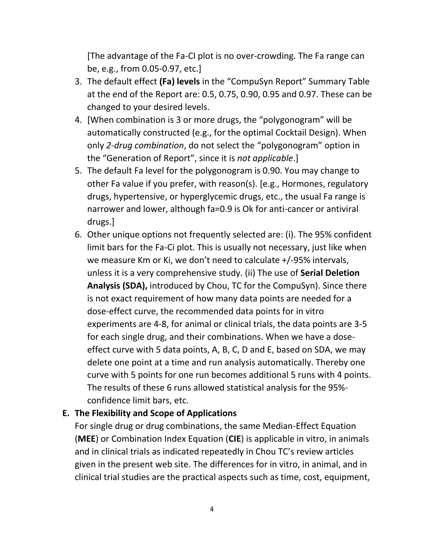[The advantage of the Fa-CI plot is no over-crowding. The Fa range can be, e.g., from 0.05-0.97, etc.]

- 3. The default effect **(Fa) levels** in the "CompuSyn Report" Summary Table at the end of the Report are: 0.5, 0.75, 0.90, 0.95 and 0.97. These can be changed to your desired levels.
- 4. [When combination is 3 or more drugs, the "polygonogram" will be automatically constructed (e.g., for the optimal Cocktail Design). When only *2-drug combination*, do not select the "polygonogram" option in the "Generation of Report", since it is *not applicable*.]
- 5. The default Fa level for the polygonogram is 0.90. You may change to other Fa value if you prefer, with reason(s). [e.g., Hormones, regulatory drugs, hypertensive, or hyperglycemic drugs, etc., the usual Fa range is narrower and lower, although fa=0.9 is Ok for anti-cancer or antiviral drugs.]
- 6. Other unique options not frequently selected are: (i). The 95% confident limit bars for the Fa-Ci plot. This is usually not necessary, just like when we measure Km or Ki, we don't need to calculate +/-95% intervals, unless it is a very comprehensive study. (ii) The use of **Serial Deletion Analysis (SDA),** introduced by Chou, TC for the CompuSyn). Since there is not exact requirement of how many data points are needed for a dose-effect curve, the recommended data points for in vitro experiments are 4-8, for animal or clinical trials, the data points are 3-5 for each single drug, and their combinations. When we have a doseeffect curve with 5 data points, A, B, C, D and E, based on SDA, we may delete one point at a time and run analysis automatically. Thereby one curve with 5 points for one run becomes additional 5 runs with 4 points. The results of these 6 runs allowed statistical analysis for the 95% confidence limit bars, etc.

#### **E. The Flexibility and Scope of Applications**

For single drug or drug combinations, the same Median-Effect Equation (**MEE**) or Combination Index Equation (**CIE**) is applicable in vitro, in animals and in clinical trials as indicated repeatedly in Chou TC's review articles given in the present web site. The differences for in vitro, in animal, and in clinical trial studies are the practical aspects such as time, cost, equipment,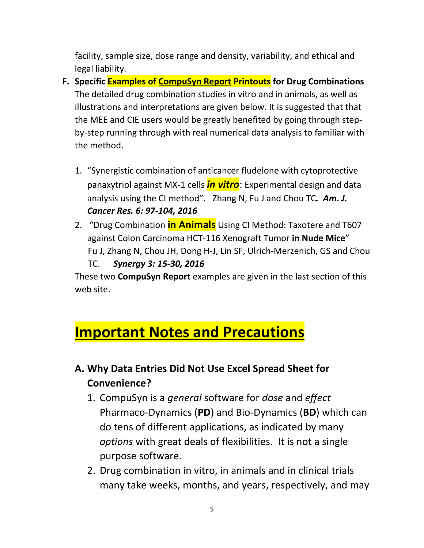facility, sample size, dose range and density, variability, and ethical and legal liability.

- **F. Specific Examples of CompuSyn Report Printouts for Drug Combinations** The detailed drug combination studies in vitro and in animals, as well as illustrations and interpretations are given below. It is suggested that that the MEE and CIE users would be greatly benefited by going through stepby-step running through with real numerical data analysis to familiar with the method.
	- 1. "Synergistic combination of anticancer fludelone with cytoprotective panaxytriol against MX-1 cells *in vitro*: Experimental design and data analysis using the CI method". Zhang N, Fu J and Chou TC*. Am. J. Cancer Res. 6: 97-104, 2016*
	- 2. "Drug Combination **in Animals** Using CI Method: Taxotere and T607 against Colon Carcinoma HCT-116 Xenograft Tumor **in Nude Mice**" Fu J, Zhang N, Chou JH, Dong H-J, Lin SF, Ulrich-Merzenich, GS and Chou TC. *Synergy 3: 15-30, 2016*

These two **CompuSyn Report** examples are given in the last section of this web site.

## **Important Notes and Precautions**

## **A. Why Data Entries Did Not Use Excel Spread Sheet for Convenience?**

- 1. CompuSyn is a *general* software for *dose* and *effect* Pharmaco-Dynamics (**PD**) and Bio-Dynamics (**BD**) which can do tens of different applications, as indicated by many *options* with great deals of flexibilities. It is not a single purpose software.
- 2. Drug combination in vitro, in animals and in clinical trials many take weeks, months, and years, respectively, and may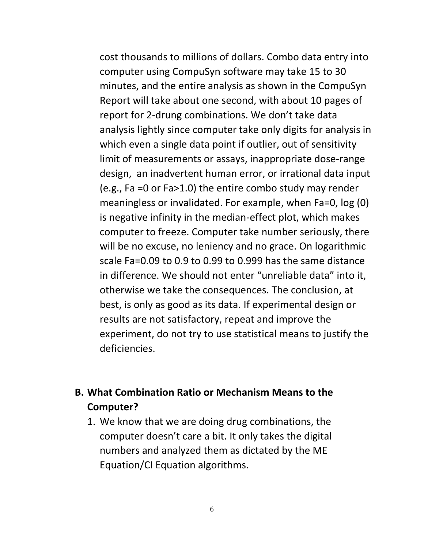cost thousands to millions of dollars. Combo data entry into computer using CompuSyn software may take 15 to 30 minutes, and the entire analysis as shown in the CompuSyn Report will take about one second, with about 10 pages of report for 2-drung combinations. We don't take data analysis lightly since computer take only digits for analysis in which even a single data point if outlier, out of sensitivity limit of measurements or assays, inappropriate dose-range design, an inadvertent human error, or irrational data input (e.g., Fa =0 or Fa>1.0) the entire combo study may render meaningless or invalidated. For example, when Fa=0, log (0) is negative infinity in the median-effect plot, which makes computer to freeze. Computer take number seriously, there will be no excuse, no leniency and no grace. On logarithmic scale Fa=0.09 to 0.9 to 0.99 to 0.999 has the same distance in difference. We should not enter "unreliable data" into it, otherwise we take the consequences. The conclusion, at best, is only as good as its data. If experimental design or results are not satisfactory, repeat and improve the experiment, do not try to use statistical means to justify the deficiencies.

### **B. What Combination Ratio or Mechanism Means to the Computer?**

1. We know that we are doing drug combinations, the computer doesn't care a bit. It only takes the digital numbers and analyzed them as dictated by the ME Equation/CI Equation algorithms.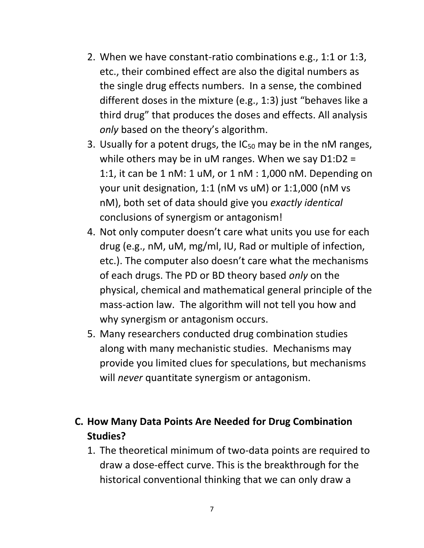- 2. When we have constant-ratio combinations e.g., 1:1 or 1:3, etc., their combined effect are also the digital numbers as the single drug effects numbers. In a sense, the combined different doses in the mixture (e.g., 1:3) just "behaves like a third drug" that produces the doses and effects. All analysis *only* based on the theory's algorithm.
- 3. Usually for a potent drugs, the  $IC_{50}$  may be in the nM ranges, while others may be in uM ranges. When we say D1:D2 = 1:1, it can be 1 nM: 1 uM, or 1 nM : 1,000 nM. Depending on your unit designation, 1:1 (nM vs uM) or 1:1,000 (nM vs nM), both set of data should give you *exactly identical* conclusions of synergism or antagonism!
- 4. Not only computer doesn't care what units you use for each drug (e.g., nM, uM, mg/ml, IU, Rad or multiple of infection, etc.). The computer also doesn't care what the mechanisms of each drugs. The PD or BD theory based *only* on the physical, chemical and mathematical general principle of the mass-action law. The algorithm will not tell you how and why synergism or antagonism occurs.
- 5. Many researchers conducted drug combination studies along with many mechanistic studies. Mechanisms may provide you limited clues for speculations, but mechanisms will *never* quantitate synergism or antagonism.

### **C. How Many Data Points Are Needed for Drug Combination Studies?**

1. The theoretical minimum of two-data points are required to draw a dose-effect curve. This is the breakthrough for the historical conventional thinking that we can only draw a